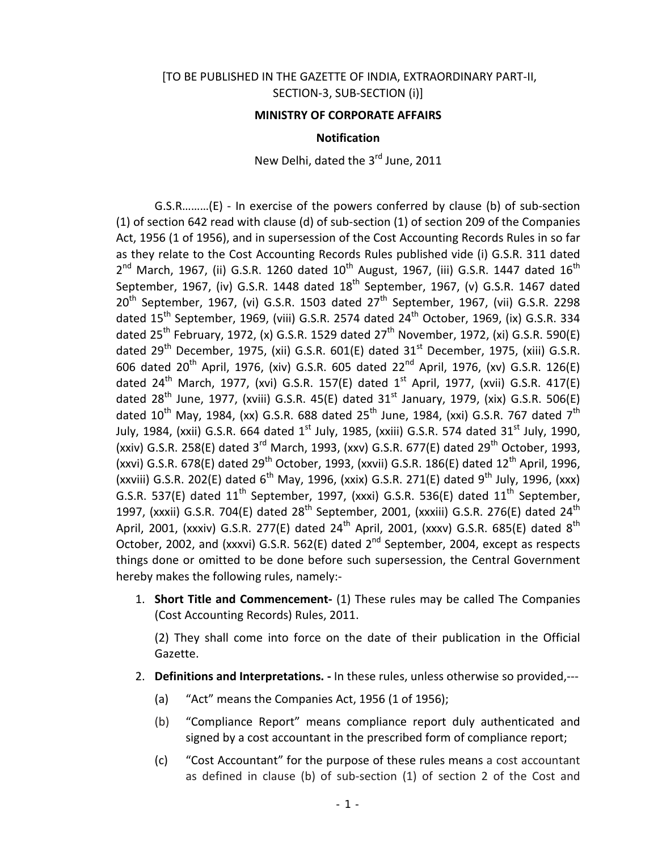## [TO BE PUBLISHED IN THE GAZETTE OF INDIA, EXTRAORDINARY PART-II, SECTION-3, SUB-SECTION (i)]

### **MINISTRY OF CORPORATE AFFAIRS**

#### **Notification**

New Delhi, dated the 3<sup>rd</sup> June, 2011

G.S.R………(E) - In exercise of the powers conferred by clause (b) of sub-section (1) of section 642 read with clause (d) of sub-section (1) of section 209 of the Companies Act, 1956 (1 of 1956), and in supersession of the Cost Accounting Records Rules in so far as they relate to the Cost Accounting Records Rules published vide (i) G.S.R. 311 dated  $2^{nd}$  March, 1967, (ii) G.S.R. 1260 dated  $10^{th}$  August, 1967, (iii) G.S.R. 1447 dated  $16^{th}$ September, 1967, (iv) G.S.R. 1448 dated  $18^{th}$  September, 1967, (v) G.S.R. 1467 dated  $20<sup>th</sup>$  September, 1967, (vi) G.S.R. 1503 dated  $27<sup>th</sup>$  September, 1967, (vii) G.S.R. 2298 dated  $15^{th}$  September, 1969, (viii) G.S.R. 2574 dated  $24^{th}$  October, 1969, (ix) G.S.R. 334 dated 25<sup>th</sup> February, 1972, (x) G.S.R. 1529 dated 27<sup>th</sup> November, 1972, (xi) G.S.R. 590(E) dated  $29^{th}$  December, 1975, (xii) G.S.R. 601(E) dated  $31^{st}$  December, 1975, (xiii) G.S.R. 606 dated  $20^{th}$  April, 1976, (xiv) G.S.R. 605 dated  $22^{nd}$  April, 1976, (xv) G.S.R. 126(E) dated 24<sup>th</sup> March, 1977, (xvi) G.S.R. 157(E) dated 1<sup>st</sup> April, 1977, (xvii) G.S.R. 417(E) dated 28<sup>th</sup> June, 1977, (xviii) G.S.R. 45(E) dated 31<sup>st</sup> January, 1979, (xix) G.S.R. 506(E) dated  $10^{th}$  May, 1984, (xx) G.S.R. 688 dated  $25^{th}$  June, 1984, (xxi) G.S.R. 767 dated  $7^{th}$ July, 1984, (xxii) G.S.R. 664 dated 1<sup>st</sup> July, 1985, (xxiii) G.S.R. 574 dated 31<sup>st</sup> July, 1990, (xxiv) G.S.R. 258(E) dated 3<sup>rd</sup> March, 1993, (xxv) G.S.R. 677(E) dated 29<sup>th</sup> October, 1993, (xxvi) G.S.R. 678(E) dated 29<sup>th</sup> October, 1993, (xxvii) G.S.R. 186(E) dated 12<sup>th</sup> April, 1996, (xxviii) G.S.R. 202(E) dated  $6^{th}$  May, 1996, (xxix) G.S.R. 271(E) dated 9<sup>th</sup> July, 1996, (xxx) G.S.R. 537(E) dated  $11<sup>th</sup>$  September, 1997, (xxxi) G.S.R. 536(E) dated  $11<sup>th</sup>$  September, 1997, (xxxii) G.S.R. 704(E) dated  $28<sup>th</sup>$  September, 2001, (xxxiii) G.S.R. 276(E) dated  $24<sup>th</sup>$ April, 2001, (xxxiv) G.S.R. 277(E) dated  $24^{th}$  April, 2001, (xxxv) G.S.R. 685(E) dated  $8^{th}$ October, 2002, and (xxxvi) G.S.R. 562(E) dated 2<sup>nd</sup> September, 2004, except as respects things done or omitted to be done before such supersession, the Central Government hereby makes the following rules, namely:-

1. **Short Title and Commencement-** (1) These rules may be called The Companies (Cost Accounting Records) Rules, 2011.

(2) They shall come into force on the date of their publication in the Official Gazette.

- 2. **Definitions and Interpretations. -** In these rules, unless otherwise so provided,---
	- (a) "Act" means the Companies Act, 1956 (1 of 1956);
	- (b) "Compliance Report" means compliance report duly authenticated and signed by a cost accountant in the prescribed form of compliance report;
	- (c) "Cost Accountant" for the purpose of these rules means a cost accountant as defined in clause (b) of sub-section (1) of section 2 of the Cost and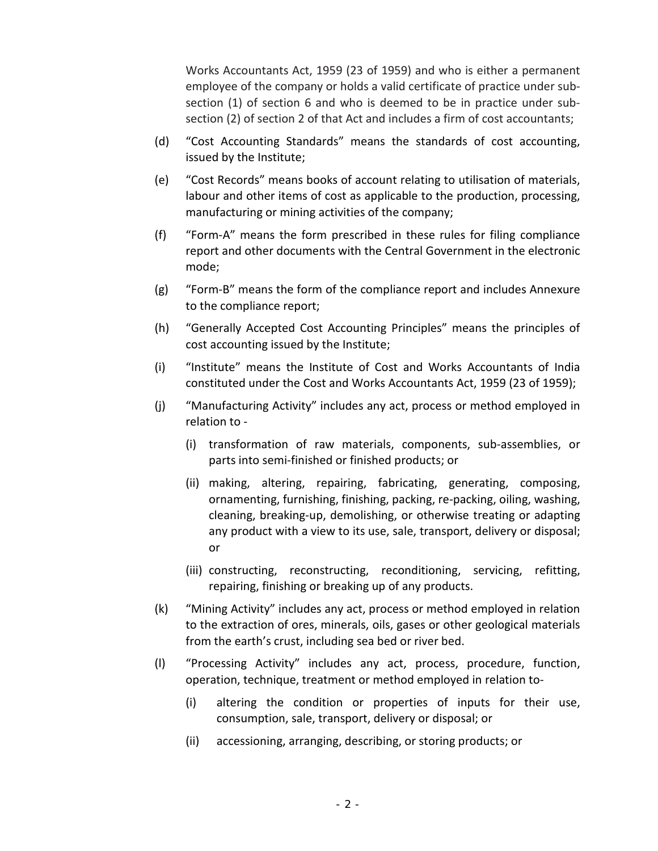Works Accountants Act, 1959 (23 of 1959) and who is either a permanent employee of the company or holds a valid certificate of practice under subsection (1) of section 6 and who is deemed to be in practice under subsection (2) of section 2 of that Act and includes a firm of cost accountants;

- (d) "Cost Accounting Standards" means the standards of cost accounting, issued by the Institute;
- (e) "Cost Records" means books of account relating to utilisation of materials, labour and other items of cost as applicable to the production, processing, manufacturing or mining activities of the company;
- (f) "Form-A" means the form prescribed in these rules for filing compliance report and other documents with the Central Government in the electronic mode;
- (g) "Form-B" means the form of the compliance report and includes Annexure to the compliance report;
- (h) "Generally Accepted Cost Accounting Principles" means the principles of cost accounting issued by the Institute;
- (i) "Institute" means the Institute of Cost and Works Accountants of India constituted under the Cost and Works Accountants Act, 1959 (23 of 1959);
- (j) "Manufacturing Activity" includes any act, process or method employed in relation to -
	- (i) transformation of raw materials, components, sub-assemblies, or parts into semi-finished or finished products; or
	- (ii) making, altering, repairing, fabricating, generating, composing, ornamenting, furnishing, finishing, packing, re-packing, oiling, washing, cleaning, breaking-up, demolishing, or otherwise treating or adapting any product with a view to its use, sale, transport, delivery or disposal; or
	- (iii) constructing, reconstructing, reconditioning, servicing, refitting, repairing, finishing or breaking up of any products.
- (k) "Mining Activity" includes any act, process or method employed in relation to the extraction of ores, minerals, oils, gases or other geological materials from the earth's crust, including sea bed or river bed.
- (l) "Processing Activity" includes any act, process, procedure, function, operation, technique, treatment or method employed in relation to-
	- (i) altering the condition or properties of inputs for their use, consumption, sale, transport, delivery or disposal; or
	- (ii) accessioning, arranging, describing, or storing products; or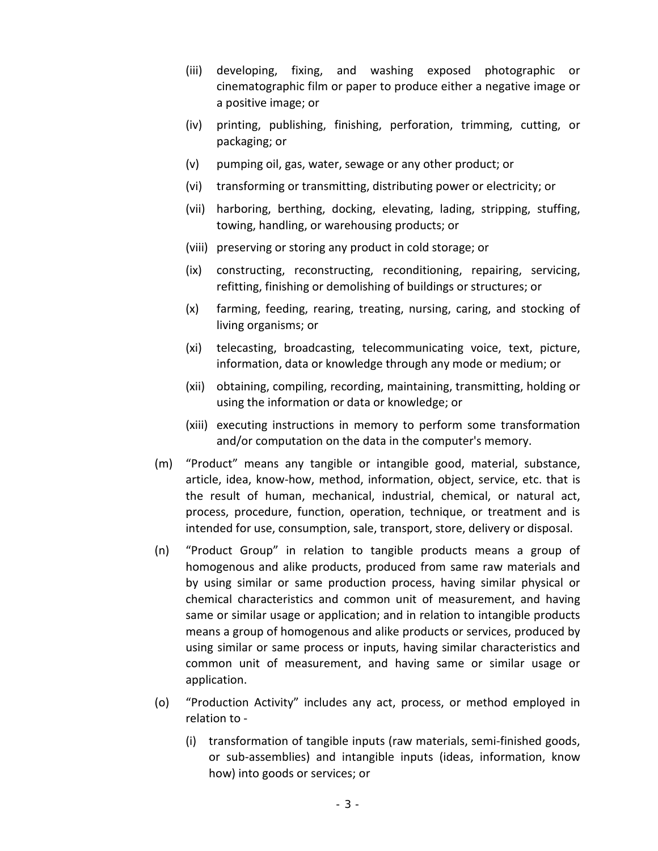- (iii) developing, fixing, and washing exposed photographic or cinematographic film or paper to produce either a negative image or a positive image; or
- (iv) printing, publishing, finishing, perforation, trimming, cutting, or packaging; or
- (v) pumping oil, gas, water, sewage or any other product; or
- (vi) transforming or transmitting, distributing power or electricity; or
- (vii) harboring, berthing, docking, elevating, lading, stripping, stuffing, towing, handling, or warehousing products; or
- (viii) preserving or storing any product in cold storage; or
- (ix) constructing, reconstructing, reconditioning, repairing, servicing, refitting, finishing or demolishing of buildings or structures; or
- (x) farming, feeding, rearing, treating, nursing, caring, and stocking of living organisms; or
- (xi) telecasting, broadcasting, telecommunicating voice, text, picture, information, data or knowledge through any mode or medium; or
- (xii) obtaining, compiling, recording, maintaining, transmitting, holding or using the information or data or knowledge; or
- (xiii) executing instructions in memory to perform some transformation and/or computation on the data in the computer's memory.
- (m) "Product" means any tangible or intangible good, material, substance, article, idea, know-how, method, information, object, service, etc. that is the result of human, mechanical, industrial, chemical, or natural act, process, procedure, function, operation, technique, or treatment and is intended for use, consumption, sale, transport, store, delivery or disposal.
- (n) "Product Group" in relation to tangible products means a group of homogenous and alike products, produced from same raw materials and by using similar or same production process, having similar physical or chemical characteristics and common unit of measurement, and having same or similar usage or application; and in relation to intangible products means a group of homogenous and alike products or services, produced by using similar or same process or inputs, having similar characteristics and common unit of measurement, and having same or similar usage or application.
- (o) "Production Activity" includes any act, process, or method employed in relation to -
	- (i) transformation of tangible inputs (raw materials, semi-finished goods, or sub-assemblies) and intangible inputs (ideas, information, know how) into goods or services; or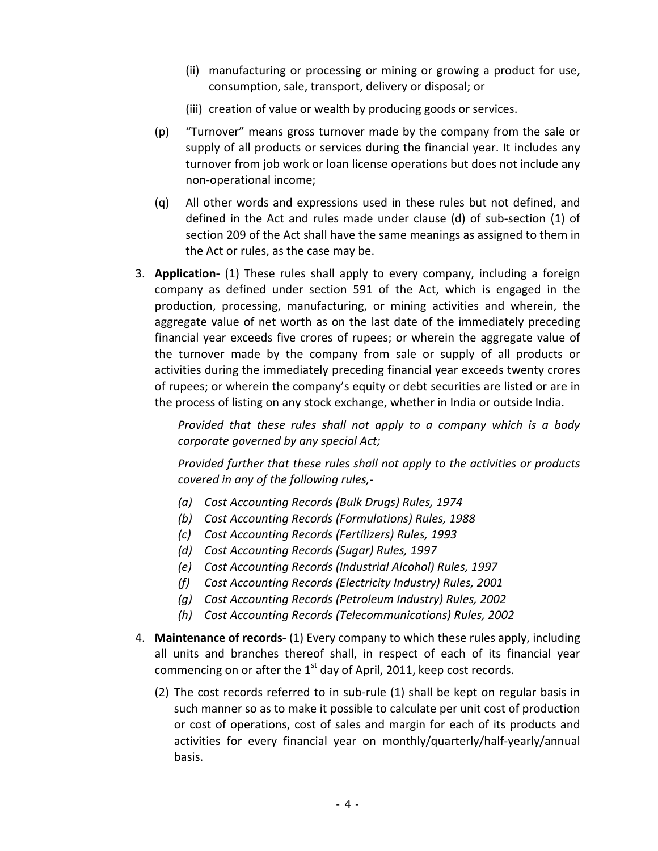- (ii) manufacturing or processing or mining or growing a product for use, consumption, sale, transport, delivery or disposal; or
- (iii) creation of value or wealth by producing goods or services.
- (p) "Turnover" means gross turnover made by the company from the sale or supply of all products or services during the financial year. It includes any turnover from job work or loan license operations but does not include any non-operational income;
- (q) All other words and expressions used in these rules but not defined, and defined in the Act and rules made under clause (d) of sub-section (1) of section 209 of the Act shall have the same meanings as assigned to them in the Act or rules, as the case may be.
- 3. **Application-** (1) These rules shall apply to every company, including a foreign company as defined under section 591 of the Act, which is engaged in the production, processing, manufacturing, or mining activities and wherein, the aggregate value of net worth as on the last date of the immediately preceding financial year exceeds five crores of rupees; or wherein the aggregate value of the turnover made by the company from sale or supply of all products or activities during the immediately preceding financial year exceeds twenty crores of rupees; or wherein the company's equity or debt securities are listed or are in the process of listing on any stock exchange, whether in India or outside India.

*Provided that these rules shall not apply to a company which is a body corporate governed by any special Act;*

*Provided further that these rules shall not apply to the activities or products covered in any of the following rules,-*

- *(a) Cost Accounting Records (Bulk Drugs) Rules, 1974*
- *(b) Cost Accounting Records (Formulations) Rules, 1988*
- *(c) Cost Accounting Records (Fertilizers) Rules, 1993*
- *(d) Cost Accounting Records (Sugar) Rules, 1997*
- *(e) Cost Accounting Records (Industrial Alcohol) Rules, 1997*
- *(f) Cost Accounting Records (Electricity Industry) Rules, 2001*
- *(g) Cost Accounting Records (Petroleum Industry) Rules, 2002*
- *(h) Cost Accounting Records (Telecommunications) Rules, 2002*
- 4. **Maintenance of records-** (1) Every company to which these rules apply, including all units and branches thereof shall, in respect of each of its financial year commencing on or after the  $1<sup>st</sup>$  day of April, 2011, keep cost records.
	- (2) The cost records referred to in sub-rule (1) shall be kept on regular basis in such manner so as to make it possible to calculate per unit cost of production or cost of operations, cost of sales and margin for each of its products and activities for every financial year on monthly/quarterly/half-yearly/annual basis.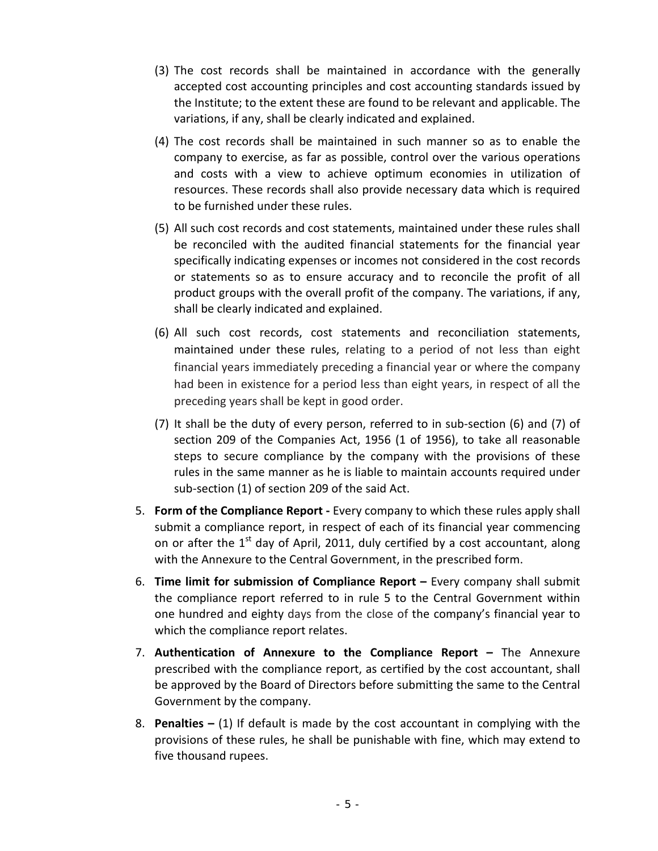- (3) The cost records shall be maintained in accordance with the generally accepted cost accounting principles and cost accounting standards issued by the Institute; to the extent these are found to be relevant and applicable. The variations, if any, shall be clearly indicated and explained.
- (4) The cost records shall be maintained in such manner so as to enable the company to exercise, as far as possible, control over the various operations and costs with a view to achieve optimum economies in utilization of resources. These records shall also provide necessary data which is required to be furnished under these rules.
- (5) All such cost records and cost statements, maintained under these rules shall be reconciled with the audited financial statements for the financial year specifically indicating expenses or incomes not considered in the cost records or statements so as to ensure accuracy and to reconcile the profit of all product groups with the overall profit of the company. The variations, if any, shall be clearly indicated and explained.
- (6) All such cost records, cost statements and reconciliation statements, maintained under these rules, relating to a period of not less than eight financial years immediately preceding a financial year or where the company had been in existence for a period less than eight years, in respect of all the preceding years shall be kept in good order.
- (7) It shall be the duty of every person, referred to in sub-section (6) and (7) of section 209 of the Companies Act, 1956 (1 of 1956), to take all reasonable steps to secure compliance by the company with the provisions of these rules in the same manner as he is liable to maintain accounts required under sub-section (1) of section 209 of the said Act.
- 5. **Form of the Compliance Report -** Every company to which these rules apply shall submit a compliance report, in respect of each of its financial year commencing on or after the  $1<sup>st</sup>$  day of April, 2011, duly certified by a cost accountant, along with the Annexure to the Central Government, in the prescribed form.
- 6. **Time limit for submission of Compliance Report –** Every company shall submit the compliance report referred to in rule 5 to the Central Government within one hundred and eighty days from the close of the company's financial year to which the compliance report relates.
- 7. **Authentication of Annexure to the Compliance Report –** The Annexure prescribed with the compliance report, as certified by the cost accountant, shall be approved by the Board of Directors before submitting the same to the Central Government by the company.
- 8. **Penalties –** (1) If default is made by the cost accountant in complying with the provisions of these rules, he shall be punishable with fine, which may extend to five thousand rupees.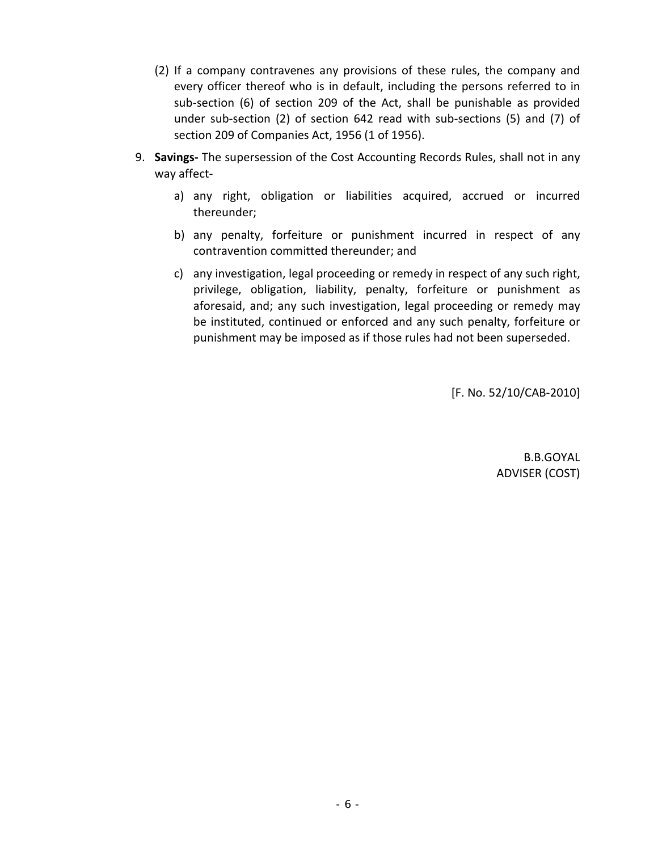- (2) If a company contravenes any provisions of these rules, the company and every officer thereof who is in default, including the persons referred to in sub-section (6) of section 209 of the Act, shall be punishable as provided under sub-section (2) of section 642 read with sub-sections (5) and (7) of section 209 of Companies Act, 1956 (1 of 1956).
- 9. **Savings-** The supersession of the Cost Accounting Records Rules, shall not in any way affect
	- a) any right, obligation or liabilities acquired, accrued or incurred thereunder;
	- b) any penalty, forfeiture or punishment incurred in respect of any contravention committed thereunder; and
	- c) any investigation, legal proceeding or remedy in respect of any such right, privilege, obligation, liability, penalty, forfeiture or punishment as aforesaid, and; any such investigation, legal proceeding or remedy may be instituted, continued or enforced and any such penalty, forfeiture or punishment may be imposed as if those rules had not been superseded.

[F. No. 52/10/CAB-2010]

B.B.GOYAL ADVISER (COST)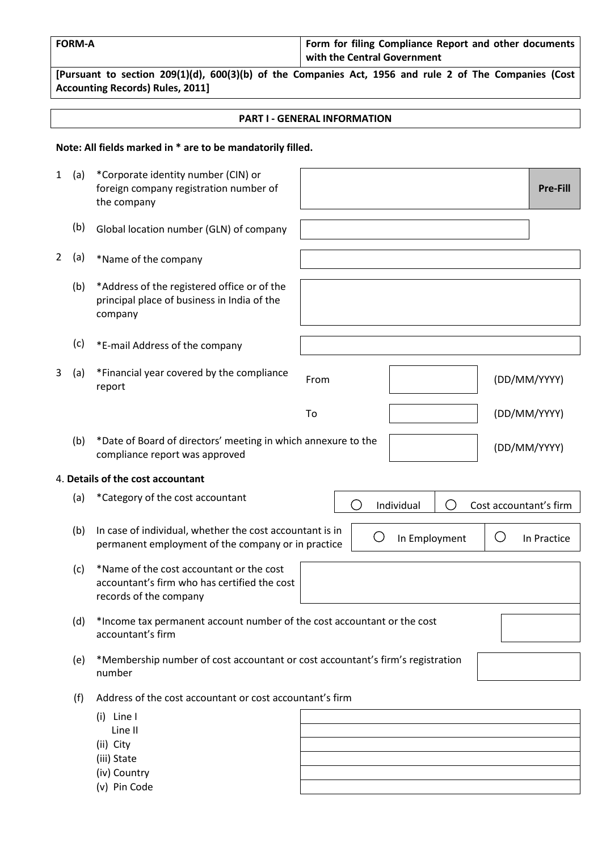| <b>FORM-A</b> | Form for filing Compliance Report and other documents |
|---------------|-------------------------------------------------------|
|               | with the Central Government                           |

**[Pursuant to section 209(1)(d), 600(3)(b) of the Companies Act, 1956 and rule 2 of The Companies (Cost Accounting Records) Rules, 2011]**

#### **PART I - GENERAL INFORMATION**

# **Note: All fields marked in \* are to be mandatorily filled.**

| 1              | (a) | *Corporate identity number (CIN) or<br>foreign company registration number of<br>the company                       |      |                          |               |                                             |                        | <b>Pre-Fill</b> |
|----------------|-----|--------------------------------------------------------------------------------------------------------------------|------|--------------------------|---------------|---------------------------------------------|------------------------|-----------------|
|                | (b) | Global location number (GLN) of company                                                                            |      |                          |               |                                             |                        |                 |
| $\overline{2}$ | (a) | *Name of the company                                                                                               |      |                          |               |                                             |                        |                 |
|                | (b) | *Address of the registered office or of the<br>principal place of business in India of the<br>company              |      |                          |               |                                             |                        |                 |
|                | (c) | *E-mail Address of the company                                                                                     |      |                          |               |                                             |                        |                 |
| 3              | (a) | *Financial year covered by the compliance<br>report                                                                | From |                          |               |                                             | (DD/MM/YYYY)           |                 |
|                |     |                                                                                                                    | To   |                          |               |                                             | (DD/MM/YYYY)           |                 |
|                | (b) | *Date of Board of directors' meeting in which annexure to the<br>compliance report was approved                    |      |                          |               |                                             | (DD/MM/YYYY)           |                 |
|                |     | 4. Details of the cost accountant                                                                                  |      |                          |               |                                             |                        |                 |
|                | (a) | *Category of the cost accountant                                                                                   |      | $\overline{\phantom{a}}$ | Individual    | $\left(\begin{array}{c} \end{array}\right)$ | Cost accountant's firm |                 |
|                | (b) | In case of individual, whether the cost accountant is in<br>permanent employment of the company or in practice     |      | $(\ )$                   | In Employment |                                             | $\bigcirc$             | In Practice     |
|                | (c) | *Name of the cost accountant or the cost<br>accountant's firm who has certified the cost<br>records of the company |      |                          |               |                                             |                        |                 |
|                | (d) | *Income tax permanent account number of the cost accountant or the cost<br>accountant's firm                       |      |                          |               |                                             |                        |                 |
|                | (e) | *Membership number of cost accountant or cost accountant's firm's registration<br>number                           |      |                          |               |                                             |                        |                 |
|                | (f) | Address of the cost accountant or cost accountant's firm                                                           |      |                          |               |                                             |                        |                 |
|                |     | $(i)$ Line I<br>Line II<br>(ii) City<br>(iii) State<br>(iv) Country<br>(v) Pin Code                                |      |                          |               |                                             |                        |                 |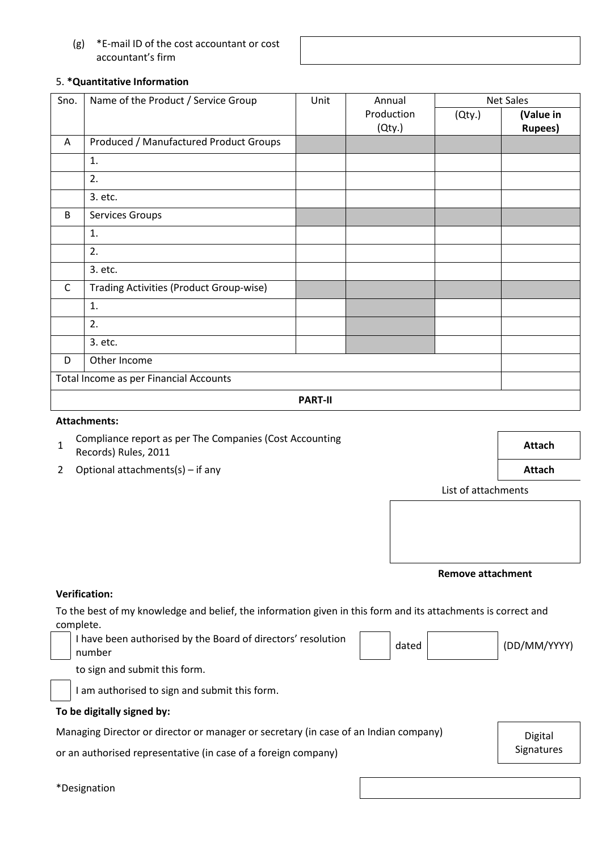## (g) \*E-mail ID of the cost accountant or cost accountant's firm

## 5. **\*Quantitative Information**

| Sno.         | Name of the Product / Service Group     | Unit           | Annual     |        | <b>Net Sales</b> |  |
|--------------|-----------------------------------------|----------------|------------|--------|------------------|--|
|              |                                         |                | Production | (Qty.) | (Value in        |  |
|              |                                         |                | (Qty.)     |        | <b>Rupees)</b>   |  |
| A            | Produced / Manufactured Product Groups  |                |            |        |                  |  |
|              | 1.                                      |                |            |        |                  |  |
|              | 2.                                      |                |            |        |                  |  |
|              | 3. etc.                                 |                |            |        |                  |  |
| B            | Services Groups                         |                |            |        |                  |  |
|              | 1.                                      |                |            |        |                  |  |
|              | 2.                                      |                |            |        |                  |  |
|              | 3. etc.                                 |                |            |        |                  |  |
| $\mathsf{C}$ | Trading Activities (Product Group-wise) |                |            |        |                  |  |
|              | 1.                                      |                |            |        |                  |  |
|              | 2.                                      |                |            |        |                  |  |
|              | 3. etc.                                 |                |            |        |                  |  |
| D            | Other Income                            |                |            |        |                  |  |
|              | Total Income as per Financial Accounts  |                |            |        |                  |  |
|              |                                         | <b>PART-II</b> |            |        |                  |  |

#### **Attachments:**

- 1 Compliance report as per The Companies (Cost Accounting Records) Rules, 2011 **Attach**
	-
- 2 Optional attachments(s) if any **Attach**

List of attachments

**Remove attachment**

#### **Verification:**

To the best of my knowledge and belief, the information given in this form and its attachments is correct and complete.

I have been authorised by the Board of directors' resolution  $\vert$  dated  $\vert$  dated (DD/MM/YYYY)

to sign and submit this form.



I am authorised to sign and submit this form.

## **To be digitally signed by:**

Managing Director or director or manager or secretary (in case of an Indian company) Digital

or an authorised representative (in case of a foreign company) example that the substitution of a signatures

\*Designation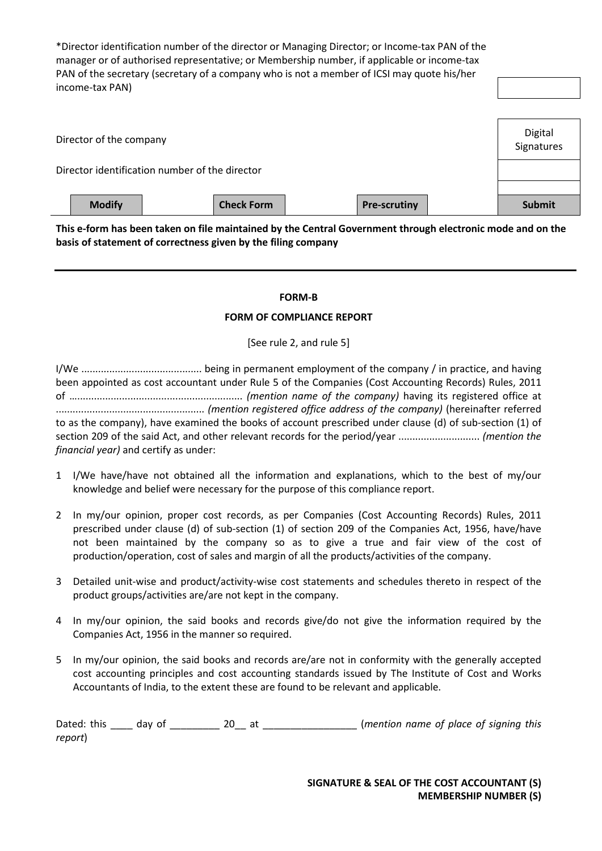\*Director identification number of the director or Managing Director; or Income-tax PAN of the manager or of authorised representative; or Membership number, if applicable or income-tax PAN of the secretary (secretary of a company who is not a member of ICSI may quote his/her income-tax PAN)

| Director of the company                        | Digital<br>Signatures |
|------------------------------------------------|-----------------------|
| Director identification number of the director |                       |
| <b>Modify</b>                                  | <b>Submit</b>         |

**This e-form has been taken on file maintained by the Central Government through electronic mode and on the basis of statement of correctness given by the filing company**

#### **FORM-B**

#### **FORM OF COMPLIANCE REPORT**

[See rule 2, and rule 5]

I/We ........................................... being in permanent employment of the company / in practice, and having been appointed as cost accountant under Rule 5 of the Companies (Cost Accounting Records) Rules, 2011 of …........................................................... *(mention name of the company)* having its registered office at ..................................................... *(mention registered office address of the company)* (hereinafter referred to as the company), have examined the books of account prescribed under clause (d) of sub-section (1) of section 209 of the said Act, and other relevant records for the period/year ............................. *(mention the financial year)* and certify as under:

- 1 I/We have/have not obtained all the information and explanations, which to the best of my/our knowledge and belief were necessary for the purpose of this compliance report.
- 2 In my/our opinion, proper cost records, as per Companies (Cost Accounting Records) Rules, 2011 prescribed under clause (d) of sub-section (1) of section 209 of the Companies Act, 1956, have/have not been maintained by the company so as to give a true and fair view of the cost of production/operation, cost of sales and margin of all the products/activities of the company.
- 3 Detailed unit-wise and product/activity-wise cost statements and schedules thereto in respect of the product groups/activities are/are not kept in the company.
- 4 In my/our opinion, the said books and records give/do not give the information required by the Companies Act, 1956 in the manner so required.
- 5 In my/our opinion, the said books and records are/are not in conformity with the generally accepted cost accounting principles and cost accounting standards issued by The Institute of Cost and Works Accountants of India, to the extent these are found to be relevant and applicable.

| Dated: this day of |  | (mention name of place of signing this |  |  |  |
|--------------------|--|----------------------------------------|--|--|--|
| report)            |  |                                        |  |  |  |

**SIGNATURE & SEAL OF THE COST ACCOUNTANT (S) MEMBERSHIP NUMBER (S)**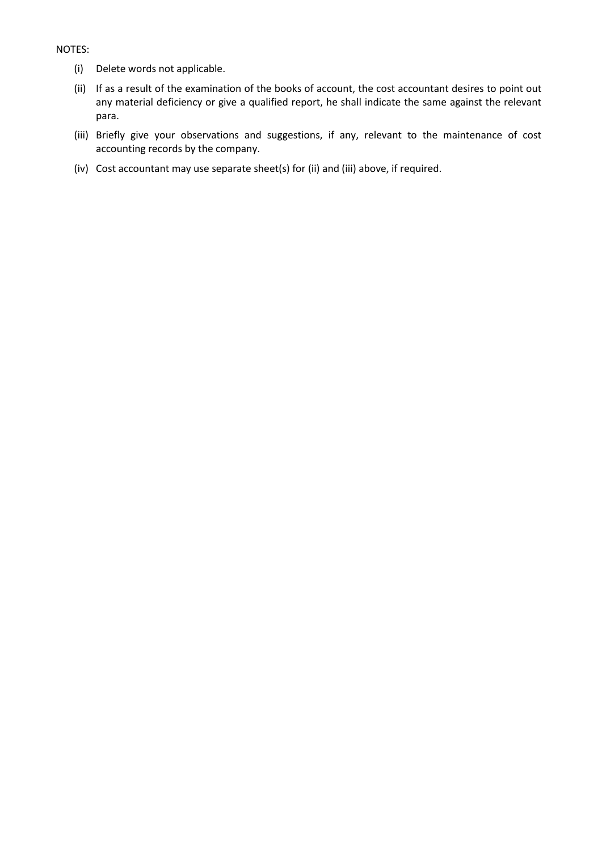#### NOTES:

- (i) Delete words not applicable.
- (ii) If as a result of the examination of the books of account, the cost accountant desires to point out any material deficiency or give a qualified report, he shall indicate the same against the relevant para.
- (iii) Briefly give your observations and suggestions, if any, relevant to the maintenance of cost accounting records by the company.
- (iv) Cost accountant may use separate sheet(s) for (ii) and (iii) above, if required.